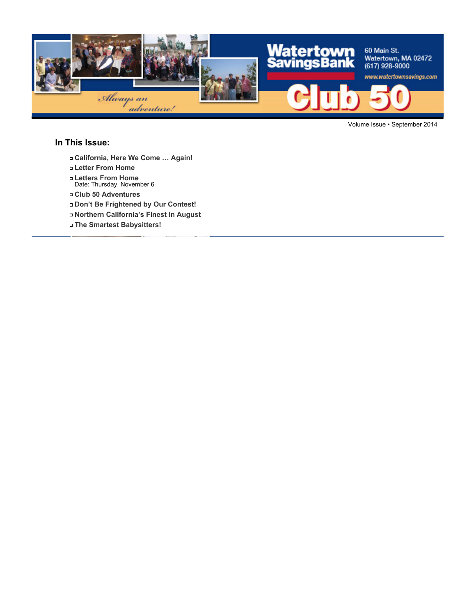

Volume Issue • September 2014

#### **In This Issue:**

- **California, Here We Come … Again!**
- **Letter From Home**
- **Letters From Home** Date: Thursday, November 6
- **Club 50 Adventures**
- **Don't Be Frightened by Our Contest!**
- **Northern California's Finest in August**
- **The Smartest Babysitters!**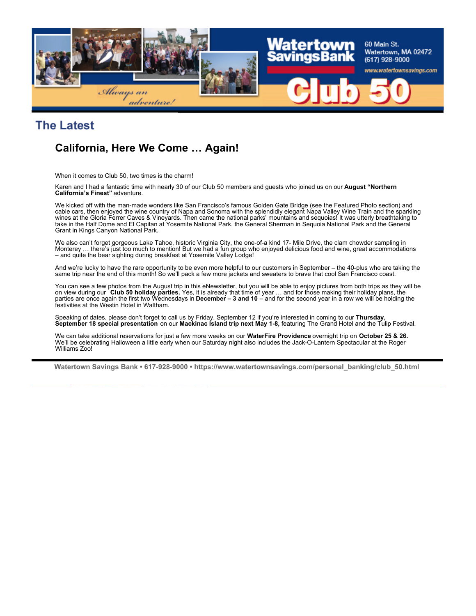

## **The Latest**

## **California, Here We Come … Again!**

When it comes to Club 50, two times is the charm!

Karen and I had a fantastic time with nearly 30 of our Club 50 members and guests who joined us on our **August "Northern California's Finest"** adventure.

We kicked off with the man-made wonders like San Francisco's famous Golden Gate Bridge (see the Featured Photo section) and cable cars, then enjoyed the wine country of Napa and Sonoma with the splendidly elegant Napa Valley Wine Train and the sparkling wines at the Gloria Ferrer Caves & Vineyards. Then came the national parks' mountains and sequoias! It was utterly breathtaking to take in the Half Dome and El Capitan at Yosemite National Park, the General Sherman in Sequoia National Park and the General Grant in Kings Canyon National Park.

We also can't forget gorgeous Lake Tahoe, historic Virginia City, the one-of-a kind 17- Mile Drive, the clam chowder sampling in Monterey … there's just too much to mention! But we had a fun group who enjoyed delicious food and wine, great accommodations – and quite the bear sighting during breakfast at Yosemite Valley Lodge!

And we're lucky to have the rare opportunity to be even more helpful to our customers in September – the 40-plus who are taking the same trip near the end of this month! So we'll pack a few more jackets and sweaters to brave that cool San Francisco coast.

You can see a few photos from the August trip in this eNewsletter, but you will be able to enjoy pictures from both trips as they will be on view during our **Club 50 holiday parties.** Yes, it is already that time of year … and for those making their holiday plans, the parties are once again the first two Wednesdays in **December – 3 and 10** – and for the second year in a row we will be holding the festivities at the Westin Hotel in Waltham.

Speaking of dates, please don't forget to call us by Friday, September 12 if you're interested in coming to our **Thursday, September 18 special presentation** on our **Mackinac Island trip next May 1-8,** featuring The Grand Hotel and the Tulip Festival.

We can take additional reservations for just a few more weeks on our **WaterFire Providence** overnight trip on **October 25 & 26.** We'll be celebrating Halloween a little early when our Saturday night also includes the Jack-O-Lantern Spectacular at the Roger Williams Zoo!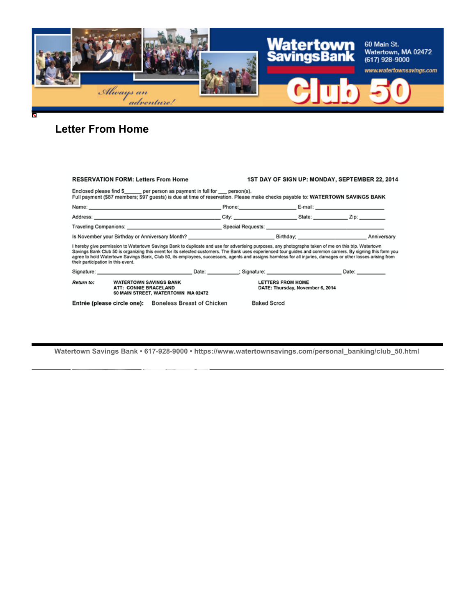

# **Letter From Home**

| <b>RESERVATION FORM: Letters From Home</b>                                                                                                                                                                                                                                                                                                                                                                                                                                                                                   |                                                              | 1ST DAY OF SIGN UP: MONDAY, SEPTEMBER 22, 2014 |
|------------------------------------------------------------------------------------------------------------------------------------------------------------------------------------------------------------------------------------------------------------------------------------------------------------------------------------------------------------------------------------------------------------------------------------------------------------------------------------------------------------------------------|--------------------------------------------------------------|------------------------------------------------|
| Enclosed please find \$ per person as payment in full for person(s).<br>Full payment (\$87 members; \$97 guests) is due at time of reservation. Please make checks payable to: WATERTOWN SAVINGS BANK                                                                                                                                                                                                                                                                                                                        |                                                              |                                                |
|                                                                                                                                                                                                                                                                                                                                                                                                                                                                                                                              |                                                              |                                                |
|                                                                                                                                                                                                                                                                                                                                                                                                                                                                                                                              |                                                              |                                                |
|                                                                                                                                                                                                                                                                                                                                                                                                                                                                                                                              |                                                              |                                                |
|                                                                                                                                                                                                                                                                                                                                                                                                                                                                                                                              |                                                              |                                                |
| I hereby give permission to Watertown Savings Bank to duplicate and use for advertising purposes, any photographs taken of me on this trip. Watertown<br>Savings Bank Club 50 is organizing this event for its selected customers. The Bank uses experienced tour guides and common carriers. By signing this form you<br>agree to hold Watertown Savings Bank, Club 50, its employees, successors, agents and assigns harmless for all injuries, damages or other losses arising from<br>their participation in this event. |                                                              |                                                |
| Signature: Date: Date: Date: Date: Signature: Signature: Date: Date: Date: Date:                                                                                                                                                                                                                                                                                                                                                                                                                                             |                                                              |                                                |
| <b>Return to:</b><br><b>WATERTOWN SAVINGS BANK</b><br>ATT: CONNIE BRACELAND<br>60 MAIN STREET, WATERTOWN MA 02472                                                                                                                                                                                                                                                                                                                                                                                                            | <b>LETTERS FROM HOME</b><br>DATE: Thursday, November 6, 2014 |                                                |
| Entrée (please circle one): Boneless Breast of Chicken                                                                                                                                                                                                                                                                                                                                                                                                                                                                       | <b>Baked Scrod</b>                                           |                                                |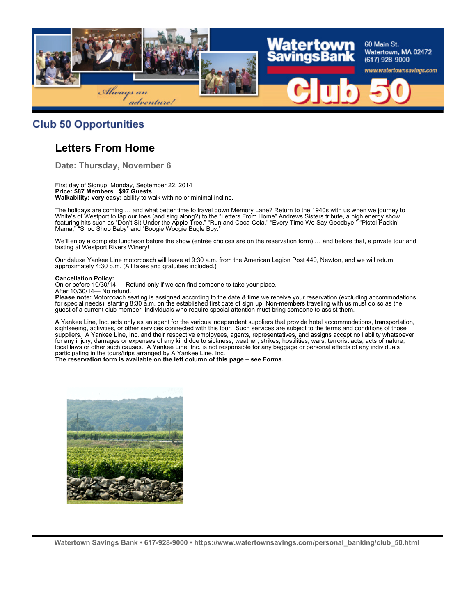

#### **Club 50 Opportunities**

## **Letters From Home**

**Date: Thursday, November 6**

First day of Signup: Monday, September 22, 2014 **Price: \$87 Members \$97 Guests Walkability: very easy:** ability to walk with no or minimal incline.

The holidays are coming … and what better time to travel down Memory Lane? Return to the 1940s with us when we journey to White's of Westport to tap our toes (and sing along?) to the "Letters From Home" Andrews Sisters tribute, a high energy show featuring hits such as "Don't Sit Under the Apple Tree," "Run and Coca-Cola," "Every Time We Say Goodbye," "Pistol Packin' Mama," "Shoo Shoo Baby" and "Boogie Woogie Bugle Boy."

We'll enjoy a complete luncheon before the show (entrée choices are on the reservation form) … and before that, a private tour and tasting at Westport Rivers Winery!

Our deluxe Yankee Line motorcoach will leave at 9:30 a.m. from the American Legion Post 440, Newton, and we will return approximately 4:30 p.m. (All taxes and gratuities included.)

#### **Cancellation Policy:**

On or before 10/30/14 — Refund only if we can find someone to take your place. After 10/30/14— No refund.

**Please note:** Motorcoach seating is assigned according to the date & time we receive your reservation (excluding accommodations for special needs), starting 8:30 a.m. on the established first date of sign up. Non-members traveling with us must do so as the guest of a current club member. Individuals who require special attention must bring someone to assist them.

A Yankee Line, Inc. acts only as an agent for the various independent suppliers that provide hotel accommodations, transportation, sightseeing, activities, or other services connected with this tour. Such services are subject to the terms and conditions of those suppliers. A Yankee Line, Inc. and their respective employees, agents, representatives, and assigns accept no liability whatsoever for any injury, damages or expenses of any kind due to sickness, weather, strikes, hostilities, wars, terrorist acts, acts of nature, local laws or other such causes. A Yankee Line, Inc. is not responsible for any baggage or personal effects of any individuals participating in the tours/trips arranged by A Yankee Line, Inc.

**The reservation form is available on the left column of this page – see Forms.**

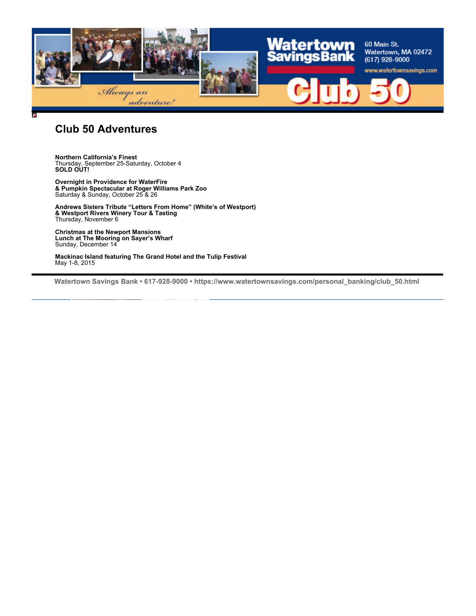

#### **Club 50 Adventures**

**Northern California's Finest** Thursday, September 25-Saturday, October 4 **SOLD OUT!**

**Overnight in Providence for WaterFire & Pumpkin Spectacular at Roger Williams Park Zoo** Saturday & Sunday, October 25 & 26

**Andrews Sisters Tribute "Letters From Home" (White's of Westport) & Westport Rivers Winery Tour & Tasting** Thursday, November 6

**Christmas at the Newport Mansions Lunch at The Mooring on Sayer's Wharf** Sunday, December 14

**Mackinac Island featuring The Grand Hotel and the Tulip Festival** May 1-8, 2015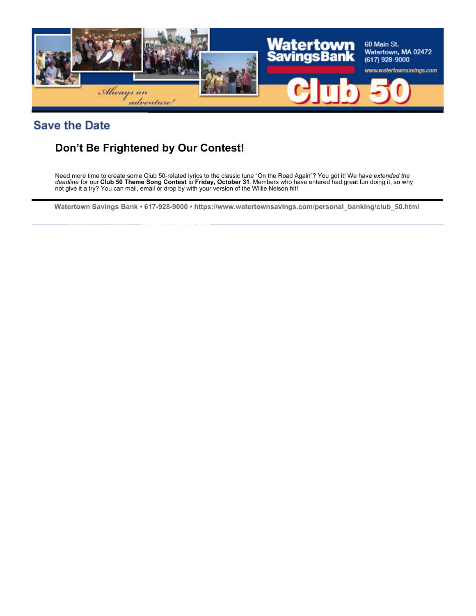

## **Save the Date**

## **Don't Be Frightened by Our Contest!**

Need more time to create some Club 50-related lyrics to the classic tune "On the Road Again"? You got it! We have *extended the deadline* for our **Club 50 Theme Song Contest** to **Friday, October 31**. Members who have entered had great fun doing it, so why not give it a try? You can mail, email or drop by with your version of the Willie Nelson hit!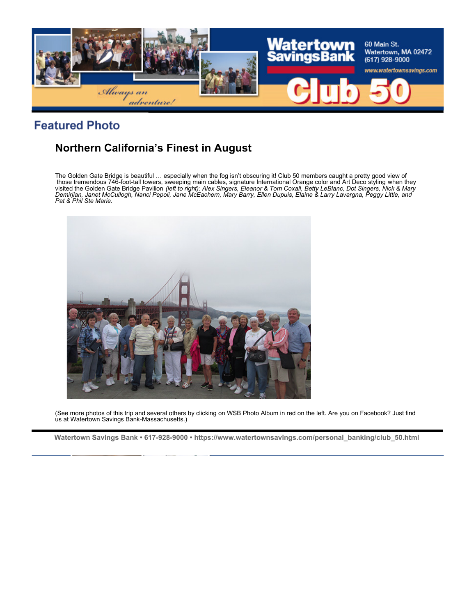

# **Featured Photo**

# **Northern California's Finest in August**

The Golden Gate Bridge is beautiful … especially when the fog isn't obscuring it! Club 50 members caught a pretty good view of those tremendous 746-foot-tall towers, sweeping main cables, signature International Orange color and Art Deco styling when they<br>visited the Golden Gate Bridge Pavilion *(left to right): Alex Singers, Eleanor & Tom Coxall, Pat & Phil Ste Marie.*



(See more photos of this trip and several others by clicking on WSB Photo Album in red on the left. Are you on Facebook? Just find us at Watertown Savings Bank-Massachusetts.)